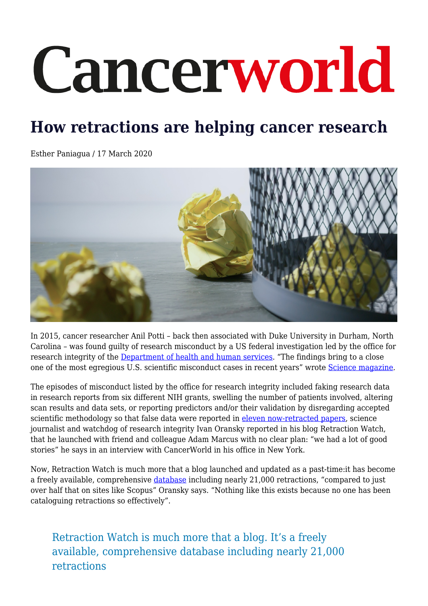# Cancerworld

# **How retractions are helping cancer research**

Esther Paniagua / 17 March 2020



In 2015, cancer researcher Anil Potti – back then associated with Duke University in Durham, North Carolina – was found guilty of research misconduct by a US federal investigation led by the office for research integrity of the [Department of health and human services](https://ori.hhs.gov/case-summary-potti-anil). "The findings bring to a close one of the most egregious U.S. scientific misconduct cases in recent years" wrote [Science magazine](https://www.sciencemag.org/news/2015/11/potti-found-guilty-research-misconduct).

The episodes of misconduct listed by the office for research integrity included faking research data in research reports from six different NIH grants, swelling the number of patients involved, altering scan results and data sets, or reporting predictors and/or their validation by disregarding accepted scientific methodology so that false data were reported in [eleven now-retracted papers,](http://retractiondatabase.org/RetractionSearch.aspx#?auth%3dPotti%252c%2bAnil) science journalist and watchdog of research integrity Ivan Oransky reported in his blog Retraction Watch, that he launched with friend and colleague Adam Marcus with no clear plan: "we had a lot of good stories" he says in an interview with CancerWorld in his office in New York.

Now, Retraction Watch is much more that a blog launched and updated as a past-time:it has become a freely available, comprehensive [database](http://retractiondatabase.org/RetractionSearch.aspx?#?auth%3dPotti%2bAND%2bAnil) including nearly 21,000 retractions, "compared to just over half that on sites like Scopus" Oransky says. "Nothing like this exists because no one has been cataloguing retractions so effectively".

Retraction Watch is much more that a blog. It's a freely available, comprehensive database including nearly 21,000 retractions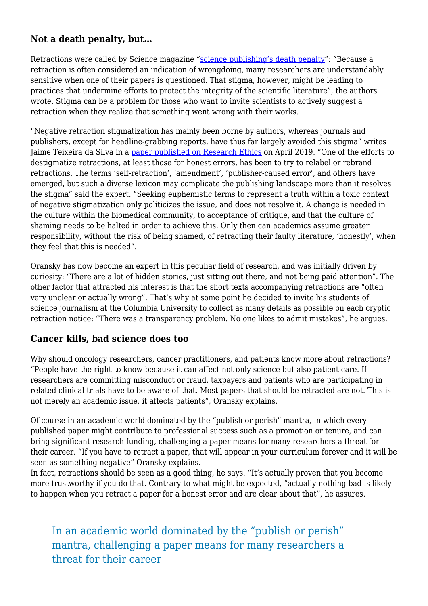#### **Not a death penalty, but…**

Retractions were called by Science magazine ["science publishing's death penalty"](https://www.sciencemag.org/news/2018/10/what-massive-database-retracted-papers-reveals-about-science-publishing-s-death-penalty): "Because a retraction is often considered an indication of wrongdoing, many researchers are understandably sensitive when one of their papers is questioned. That stigma, however, might be leading to practices that undermine efforts to protect the integrity of the scientific literature", the authors wrote. Stigma can be a problem for those who want to invite scientists to actively suggest a retraction when they realize that something went wrong with their works.

"Negative retraction stigmatization has mainly been borne by authors, whereas journals and publishers, except for headline-grabbing reports, have thus far largely avoided this stigma" writes Jaime Teixeira da Silva in a [paper published on Research Ethics](https://journals.sagepub.com/doi/full/10.1177/1747016118802970) on April 2019. "One of the efforts to destigmatize retractions, at least those for honest errors, has been to try to relabel or rebrand retractions. The terms 'self-retraction', 'amendment', 'publisher-caused error', and others have emerged, but such a diverse lexicon may complicate the publishing landscape more than it resolves the stigma" said the expert. "Seeking euphemistic terms to represent a truth within a toxic context of negative stigmatization only politicizes the issue, and does not resolve it. A change is needed in the culture within the biomedical community, to acceptance of critique, and that the culture of shaming needs to be halted in order to achieve this. Only then can academics assume greater responsibility, without the risk of being shamed, of retracting their faulty literature, 'honestly', when they feel that this is needed".

Oransky has now become an expert in this peculiar field of research, and was initially driven by curiosity: "There are a lot of hidden stories, just sitting out there, and not being paid attention". The other factor that attracted his interest is that the short texts accompanying retractions are "often very unclear or actually wrong". That's why at some point he decided to invite his students of science journalism at the Columbia University to collect as many details as possible on each cryptic retraction notice: "There was a transparency problem. No one likes to admit mistakes", he argues.

#### **Cancer kills, bad science does too**

Why should oncology researchers, cancer practitioners, and patients know more about retractions? "People have the right to know because it can affect not only science but also patient care. If researchers are committing misconduct or fraud, taxpayers and patients who are participating in related clinical trials have to be aware of that. Most papers that should be retracted are not. This is not merely an academic issue, it affects patients", Oransky explains.

Of course in an academic world dominated by the "publish or perish" mantra, in which every published paper might contribute to professional success such as a promotion or tenure, and can bring significant research funding, challenging a paper means for many researchers a threat for their career. "If you have to retract a paper, that will appear in your curriculum forever and it will be seen as something negative" Oransky explains.

In fact, retractions should be seen as a good thing, he says. "It's actually proven that you become more trustworthy if you do that. Contrary to what might be expected, "actually nothing bad is likely to happen when you retract a paper for a honest error and are clear about that", he assures.

## In an academic world dominated by the "publish or perish" mantra, challenging a paper means for many researchers a threat for their career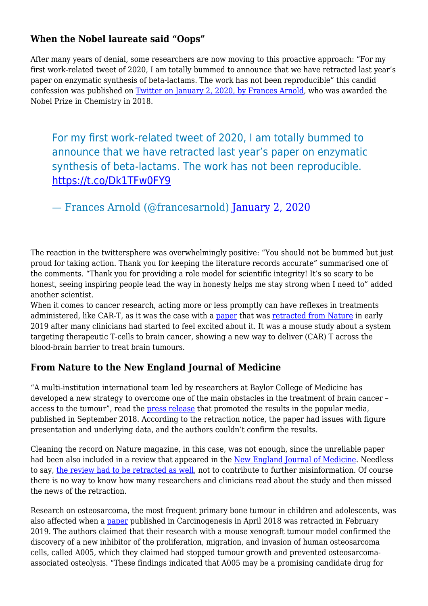#### **When the Nobel laureate said "Oops"**

After many years of denial, some researchers are now moving to this proactive approach: "For my first work-related tweet of 2020, I am totally bummed to announce that we have retracted last year's paper on enzymatic synthesis of beta-lactams. The work has not been reproducible" this candid confession was published on [Twitter on January 2, 2020, by Frances Arnold,](https://twitter.com/francesarnold/status/1212796190711959552) who was awarded the Nobel Prize in Chemistry in 2018.

For my first work-related tweet of 2020, I am totally bummed to announce that we have retracted last year's paper on enzymatic synthesis of beta-lactams. The work has not been reproducible. <https://t.co/Dk1TFw0FY9>

— Frances Arnold (@francesarnold) [January 2, 2020](https://twitter.com/francesarnold/status/1212796190711959552?ref_src=twsrc%5Etfw)

The reaction in the twittersphere was overwhelmingly positive: "You should not be bummed but just proud for taking action. Thank you for keeping the literature records accurate" summarised one of the comments. "Thank you for providing a role model for scientific integrity! It's so scary to be honest, seeing inspiring people lead the way in honesty helps me stay strong when I need to" added another scientist.

When it comes to cancer research, acting more or less promptly can have reflexes in treatments administered, like CAR-T, as it was the case with a [paper](https://www.nature.com/articles/s41586-018-0499-y.epdf?referrer_access_token=ignArSijqm6_8bzkSnXudtRgN0jAjWel9jnR3ZoTv0NNFp70JoBuFBSN2qRdMEBssy7pWqIoYu-nT7V8NDQrOCz_fNWTdHd1q46Whmstq0O9WKqMqw3laMxz42NzJHT3eGHvHfue71qWmx7Ihs_EDnBrDafm_R5C3l_7cN2FJ3BiAsy6qXF6INQt1K0T2jrk-qgLN-ZX_d-JDHZBFFMFYT5W2_JpVye7OK0DYoyu678%3D&tracking_referrer=www.medscape.com) that was [retracted from Nature](https://www.nature.com/articles/s41586-019-0967-z) in early 2019 after many clinicians had started to feel excited about it. It was a mouse study about a system targeting therapeutic T-cells to brain cancer, showing a new way to deliver (CAR) T across the blood-brain barrier to treat brain tumours.

#### **From Nature to the New England Journal of Medicine**

"A multi-institution international team led by researchers at Baylor College of Medicine has developed a new strategy to overcome one of the main obstacles in the treatment of brain cancer – access to the tumour", read the [press release](https://www.eurekalert.org/pub_releases/2018-09/bcom-as090418.php) that promoted the results in the popular media, published in September 2018. According to the retraction notice, the paper had issues with figure presentation and underlying data, and the authors couldn't confirm the results.

Cleaning the record on Nature magazine, in this case, was not enough, since the unreliable paper had been also included in a review that appeared in the [New England Journal of Medicine.](https://www.nejm.org/doi/full/10.1056/NEJMcibr1811991) Needless to say, [the review had to be retracted as well,](https://www.nejm.org/doi/full/10.1056/NEJMc1902526) not to contribute to further misinformation. Of course there is no way to know how many researchers and clinicians read about the study and then missed the news of the retraction.

Research on osteosarcoma, the most frequent primary bone tumour in children and adolescents, was also affected when a [paper](https://academic.oup.com/carcin/article/40/2/e1/4960114) published in Carcinogenesis in April 2018 was retracted in February 2019. The authors claimed that their research with a mouse xenograft tumour model confirmed the discovery of a new inhibitor of the proliferation, migration, and invasion of human osteosarcoma cells, called A005, which they claimed had stopped tumour growth and prevented osteosarcomaassociated osteolysis. "These findings indicated that A005 may be a promising candidate drug for